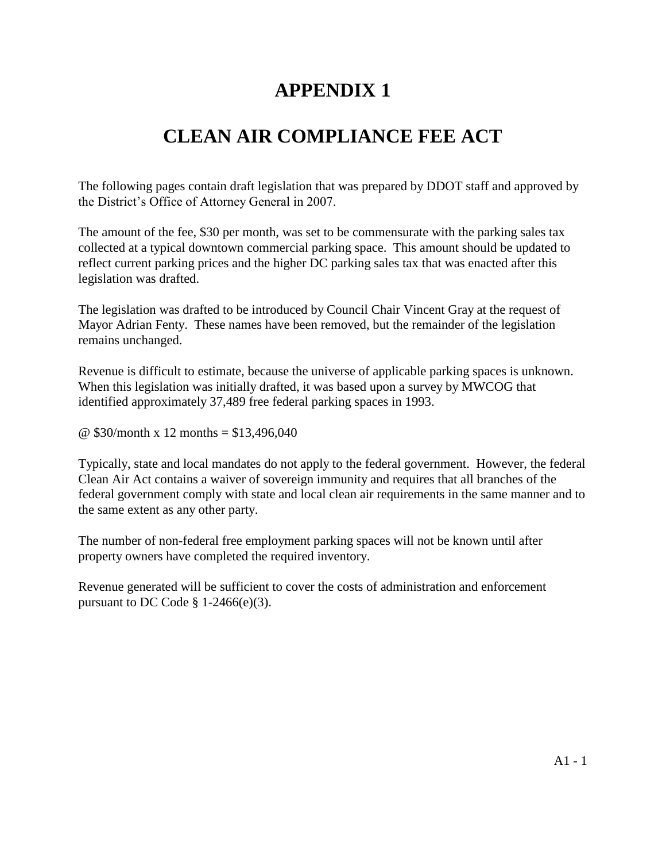## **APPENDIX 1**

## **CLEAN AIR COMPLIANCE FEE ACT**

The following pages contain draft legislation that was prepared by DDOT staff and approved by the District's Office of Attorney General in 2007.

The amount of the fee, \$30 per month, was set to be commensurate with the parking sales tax collected at a typical downtown commercial parking space. This amount should be updated to reflect current parking prices and the higher DC parking sales tax that was enacted after this legislation was drafted.

The legislation was drafted to be introduced by Council Chair Vincent Gray at the request of Mayor Adrian Fenty. These names have been removed, but the remainder of the legislation remains unchanged.

Revenue is difficult to estimate, because the universe of applicable parking spaces is unknown. When this legislation was initially drafted, it was based upon a survey by MWCOG that identified approximately 37,489 free federal parking spaces in 1993.

@ \$30/month x 12 months = \$13,496,040

Typically, state and local mandates do not apply to the federal government. However, the federal Clean Air Act contains a waiver of sovereign immunity and requires that all branches of the federal government comply with state and local clean air requirements in the same manner and to the same extent as any other party.

The number of non-federal free employment parking spaces will not be known until after property owners have completed the required inventory.

Revenue generated will be sufficient to cover the costs of administration and enforcement pursuant to DC Code  $\S$  1-2466(e)(3).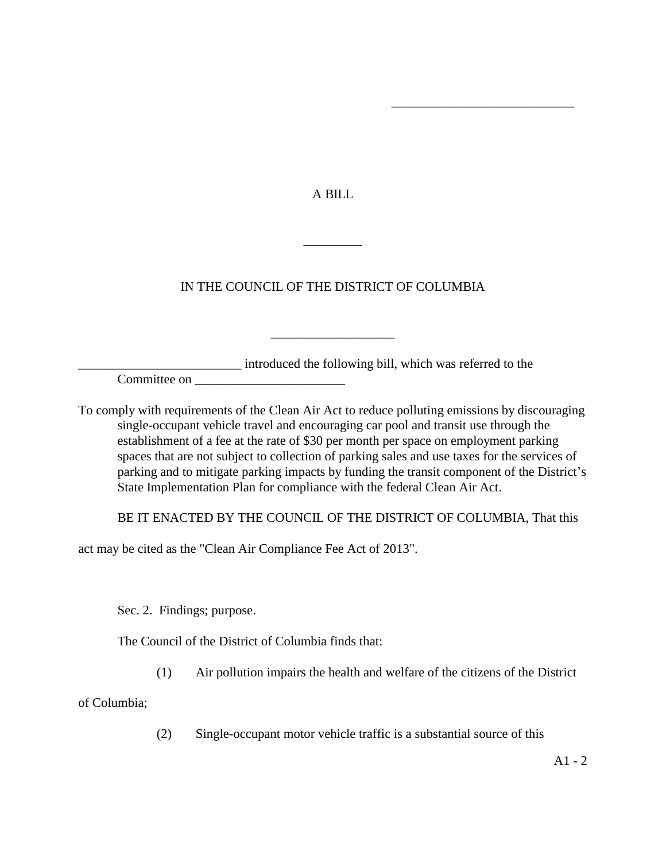A BILL

\_\_\_\_\_\_\_\_\_\_\_\_\_\_\_\_\_\_\_\_\_\_\_\_\_\_\_\_

## IN THE COUNCIL OF THE DISTRICT OF COLUMBIA

\_\_\_\_\_\_\_\_\_\_\_\_\_\_\_\_\_\_\_

 $\overline{\phantom{a}}$ 

\_\_\_\_\_\_\_\_\_\_\_\_\_\_\_\_\_\_\_\_\_\_\_\_\_ introduced the following bill, which was referred to the

Committee on \_\_\_\_\_\_\_\_\_\_\_\_\_\_\_\_\_\_\_\_\_\_\_

To comply with requirements of the Clean Air Act to reduce polluting emissions by discouraging single-occupant vehicle travel and encouraging car pool and transit use through the establishment of a fee at the rate of \$30 per month per space on employment parking spaces that are not subject to collection of parking sales and use taxes for the services of parking and to mitigate parking impacts by funding the transit component of the District's State Implementation Plan for compliance with the federal Clean Air Act.

BE IT ENACTED BY THE COUNCIL OF THE DISTRICT OF COLUMBIA, That this

act may be cited as the "Clean Air Compliance Fee Act of 2013".

Sec. 2. Findings; purpose.

The Council of the District of Columbia finds that:

(1) Air pollution impairs the health and welfare of the citizens of the District

of Columbia;

(2) Single-occupant motor vehicle traffic is a substantial source of this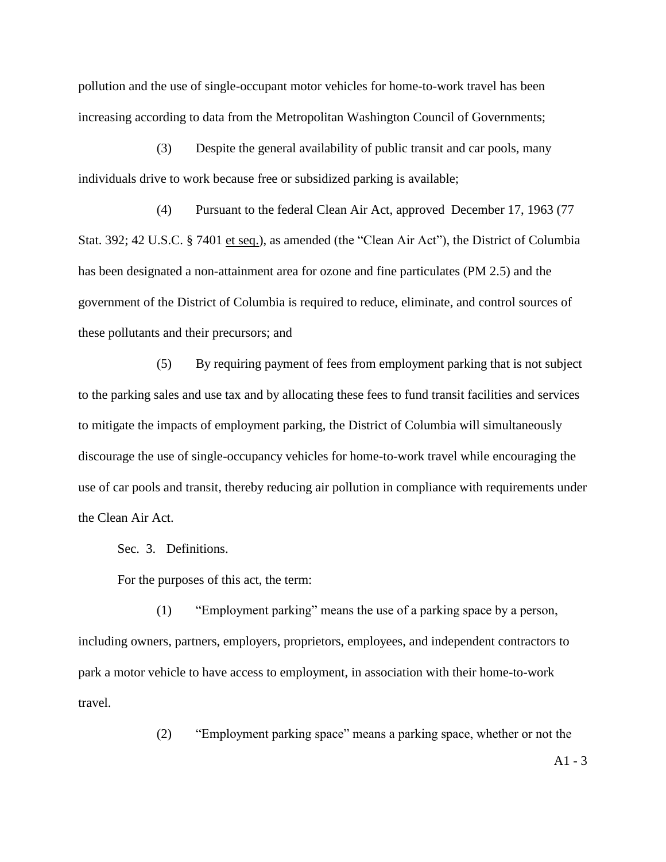pollution and the use of single-occupant motor vehicles for home-to-work travel has been increasing according to data from the Metropolitan Washington Council of Governments;

(3) Despite the general availability of public transit and car pools, many individuals drive to work because free or subsidized parking is available;

(4) Pursuant to the federal Clean Air Act, approved December 17, 1963 (77 Stat. 392; 42 U.S.C. § 7401 et seq.), as amended (the "Clean Air Act"), the District of Columbia has been designated a non-attainment area for ozone and fine particulates (PM 2.5) and the government of the District of Columbia is required to reduce, eliminate, and control sources of these pollutants and their precursors; and

(5) By requiring payment of fees from employment parking that is not subject to the parking sales and use tax and by allocating these fees to fund transit facilities and services to mitigate the impacts of employment parking, the District of Columbia will simultaneously discourage the use of single-occupancy vehicles for home-to-work travel while encouraging the use of car pools and transit, thereby reducing air pollution in compliance with requirements under the Clean Air Act.

Sec. 3. Definitions.

For the purposes of this act, the term:

(1) "Employment parking" means the use of a parking space by a person, including owners, partners, employers, proprietors, employees, and independent contractors to park a motor vehicle to have access to employment, in association with their home-to-work travel.

(2) "Employment parking space" means a parking space, whether or not the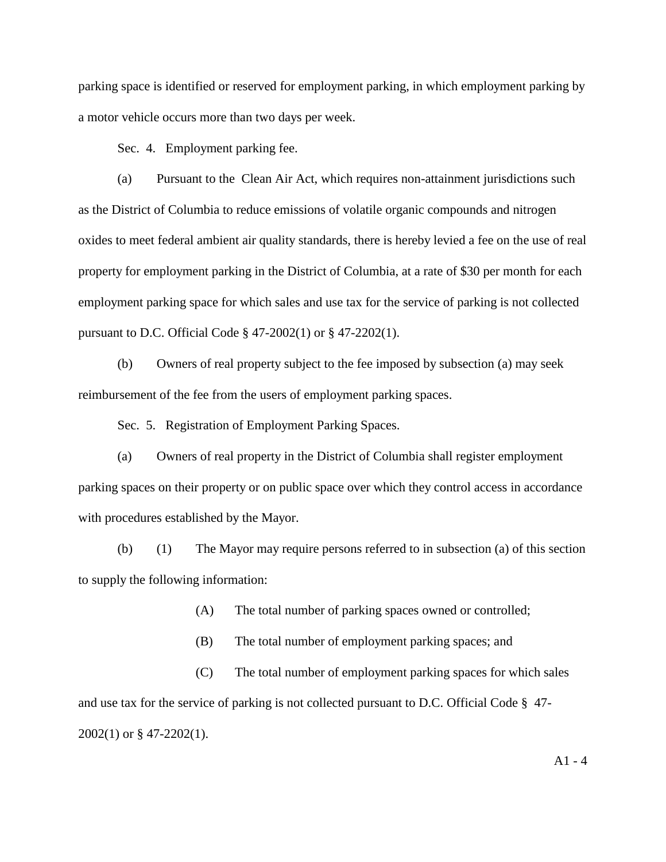parking space is identified or reserved for employment parking, in which employment parking by a motor vehicle occurs more than two days per week.

Sec. 4. Employment parking fee.

(a) Pursuant to the Clean Air Act, which requires non-attainment jurisdictions such as the District of Columbia to reduce emissions of volatile organic compounds and nitrogen oxides to meet federal ambient air quality standards, there is hereby levied a fee on the use of real property for employment parking in the District of Columbia, at a rate of \$30 per month for each employment parking space for which sales and use tax for the service of parking is not collected pursuant to D.C. Official Code § 47-2002(1) or § 47-2202(1).

(b) Owners of real property subject to the fee imposed by subsection (a) may seek reimbursement of the fee from the users of employment parking spaces.

Sec. 5. Registration of Employment Parking Spaces.

(a) Owners of real property in the District of Columbia shall register employment parking spaces on their property or on public space over which they control access in accordance with procedures established by the Mayor.

(b) (1) The Mayor may require persons referred to in subsection (a) of this section to supply the following information:

(A) The total number of parking spaces owned or controlled;

(B) The total number of employment parking spaces; and

(C) The total number of employment parking spaces for which sales and use tax for the service of parking is not collected pursuant to D.C. Official Code § 47- 2002(1) or § 47-2202(1).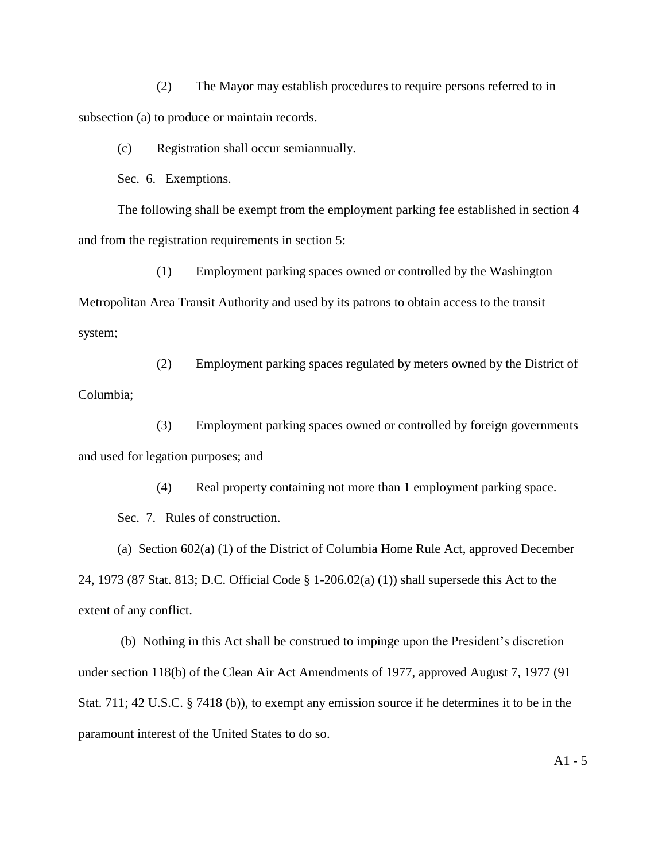(2) The Mayor may establish procedures to require persons referred to in subsection (a) to produce or maintain records.

(c) Registration shall occur semiannually.

Sec. 6. Exemptions.

The following shall be exempt from the employment parking fee established in section 4 and from the registration requirements in section 5:

(1) Employment parking spaces owned or controlled by the Washington Metropolitan Area Transit Authority and used by its patrons to obtain access to the transit system;

(2) Employment parking spaces regulated by meters owned by the District of Columbia;

(3) Employment parking spaces owned or controlled by foreign governments and used for legation purposes; and

(4) Real property containing not more than 1 employment parking space.

Sec. 7. Rules of construction.

(a) Section 602(a) (1) of the District of Columbia Home Rule Act, approved December 24, 1973 (87 Stat. 813; D.C. Official Code § 1-206.02(a) (1)) shall supersede this Act to the extent of any conflict.

(b) Nothing in this Act shall be construed to impinge upon the President's discretion under section 118(b) of the Clean Air Act Amendments of 1977, approved August 7, 1977 (91 Stat. 711; 42 U.S.C. § 7418 (b)), to exempt any emission source if he determines it to be in the paramount interest of the United States to do so.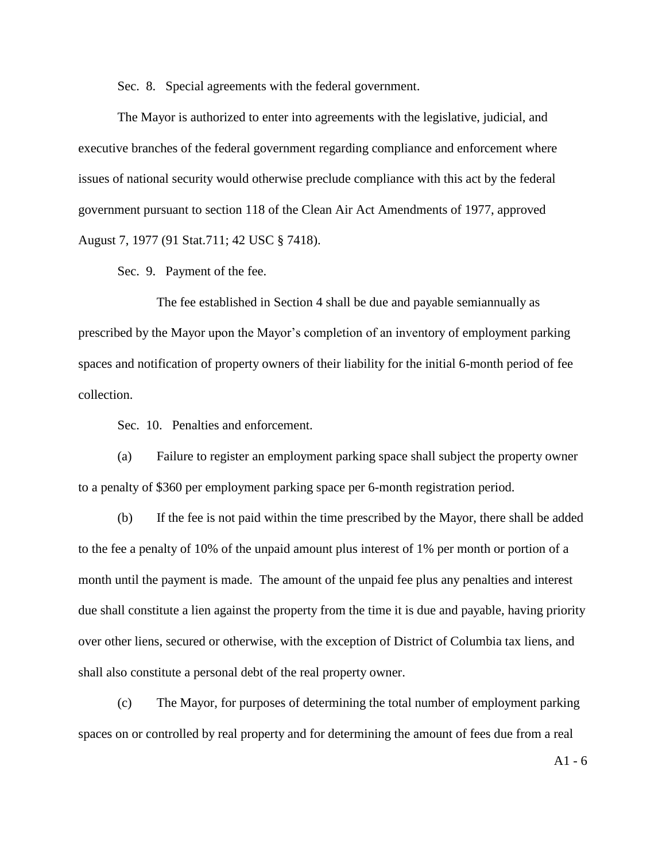Sec. 8. Special agreements with the federal government.

The Mayor is authorized to enter into agreements with the legislative, judicial, and executive branches of the federal government regarding compliance and enforcement where issues of national security would otherwise preclude compliance with this act by the federal government pursuant to section 118 of the Clean Air Act Amendments of 1977, approved August 7, 1977 (91 Stat.711; 42 USC § 7418).

Sec. 9. Payment of the fee.

The fee established in Section 4 shall be due and payable semiannually as prescribed by the Mayor upon the Mayor's completion of an inventory of employment parking spaces and notification of property owners of their liability for the initial 6-month period of fee collection.

Sec. 10. Penalties and enforcement.

(a) Failure to register an employment parking space shall subject the property owner to a penalty of \$360 per employment parking space per 6-month registration period.

(b) If the fee is not paid within the time prescribed by the Mayor, there shall be added to the fee a penalty of 10% of the unpaid amount plus interest of 1% per month or portion of a month until the payment is made. The amount of the unpaid fee plus any penalties and interest due shall constitute a lien against the property from the time it is due and payable, having priority over other liens, secured or otherwise, with the exception of District of Columbia tax liens, and shall also constitute a personal debt of the real property owner.

(c) The Mayor, for purposes of determining the total number of employment parking spaces on or controlled by real property and for determining the amount of fees due from a real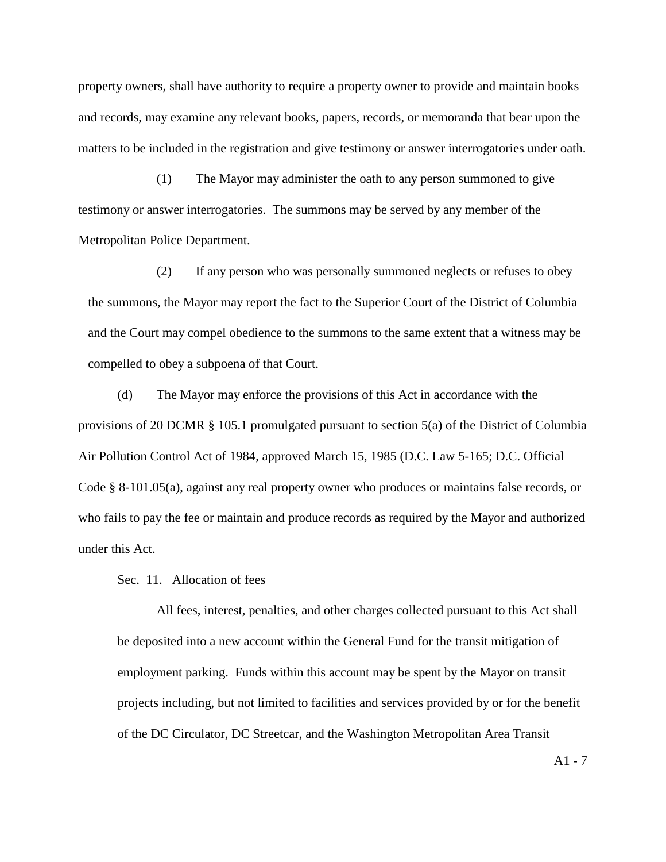property owners, shall have authority to require a property owner to provide and maintain books and records, may examine any relevant books, papers, records, or memoranda that bear upon the matters to be included in the registration and give testimony or answer interrogatories under oath.

(1) The Mayor may administer the oath to any person summoned to give testimony or answer interrogatories. The summons may be served by any member of the Metropolitan Police Department.

(2) If any person who was personally summoned neglects or refuses to obey the summons, the Mayor may report the fact to the Superior Court of the District of Columbia and the Court may compel obedience to the summons to the same extent that a witness may be compelled to obey a subpoena of that Court.

(d) The Mayor may enforce the provisions of this Act in accordance with the provisions of 20 DCMR § 105.1 promulgated pursuant to section 5(a) of the District of Columbia Air Pollution Control Act of 1984, approved March 15, 1985 (D.C. Law 5-165; D.C. Official Code § 8-101.05(a), against any real property owner who produces or maintains false records, or who fails to pay the fee or maintain and produce records as required by the Mayor and authorized under this Act.

Sec. 11. Allocation of fees

All fees, interest, penalties, and other charges collected pursuant to this Act shall be deposited into a new account within the General Fund for the transit mitigation of employment parking. Funds within this account may be spent by the Mayor on transit projects including, but not limited to facilities and services provided by or for the benefit of the DC Circulator, DC Streetcar, and the Washington Metropolitan Area Transit